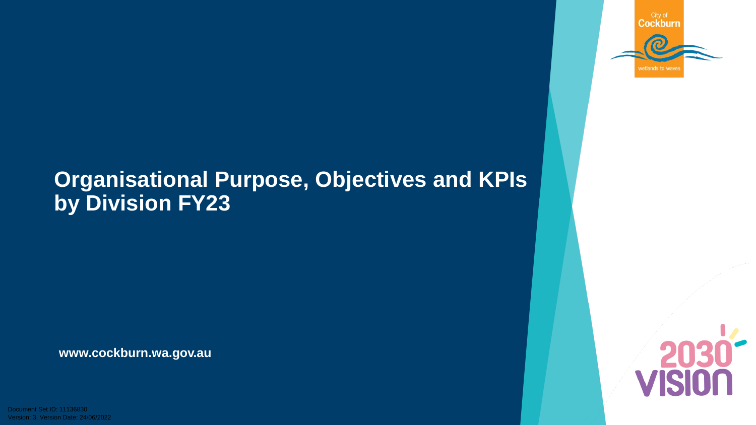

# **Organisational Purpose, Objectives and KPIs by Division FY23**

**[www.cockburn.wa.gov.au](http://www.cockburn.wa.gov.au/)**

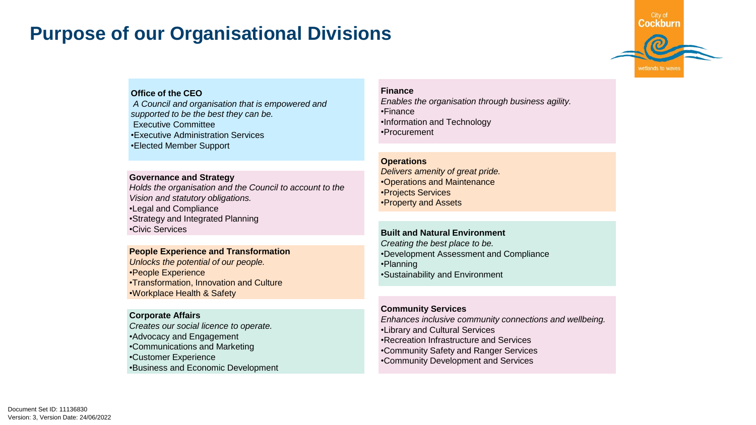#### **Purpose of our Organisational Divisions**



#### **Office of the CEO**

*A Council and organisation that is empowered and supported to be the best they can be.* Executive Committee •Executive Administration Services •Elected Member Support

#### **Governance and Strategy**

*Holds the organisation and the Council to account to the Vision and statutory obligations.* •Legal and Compliance •Strategy and Integrated Planning •Civic Services

#### **People Experience and Transformation**

*Unlocks the potential of our people.* •People Experience •Transformation, Innovation and Culture •Workplace Health & Safety

#### **Corporate Affairs**

*Creates our social licence to operate.* •Advocacy and Engagement •Communications and Marketing •Customer Experience •Business and Economic Development

#### **Finance**

*Enables the organisation through business agility.* •Finance •Information and Technology •Procurement

#### **Operations**

*Delivers amenity of great pride.* •Operations and Maintenance •Projects Services •Property and Assets

#### **Built and Natural Environment**

*Creating the best place to be.* •Development Assessment and Compliance •Planning •Sustainability and Environment

#### **Community Services**

*Enhances inclusive community connections and wellbeing.* •Library and Cultural Services •Recreation Infrastructure and Services •Community Safety and Ranger Services •Community Development and Services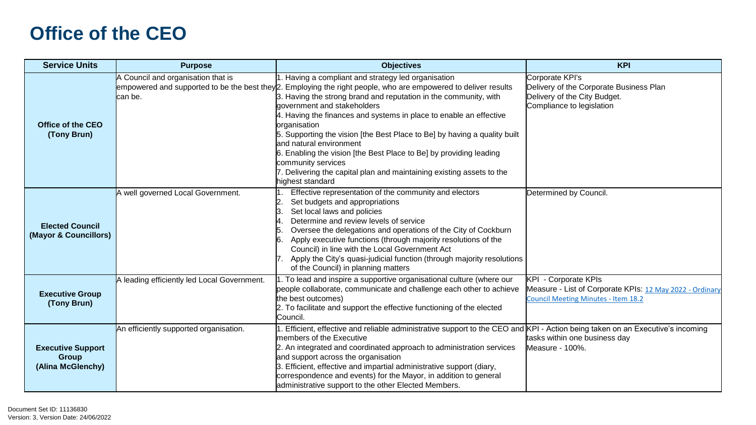#### **Office of the CEO**

| <b>Service Units</b>                                          | <b>Purpose</b>                                | <b>Objectives</b>                                                                                                                                                                                                                                                                                                                                                                                                                                                                                                                                                                                                                                                 | <b>KPI</b>                                                                                                                     |
|---------------------------------------------------------------|-----------------------------------------------|-------------------------------------------------------------------------------------------------------------------------------------------------------------------------------------------------------------------------------------------------------------------------------------------------------------------------------------------------------------------------------------------------------------------------------------------------------------------------------------------------------------------------------------------------------------------------------------------------------------------------------------------------------------------|--------------------------------------------------------------------------------------------------------------------------------|
| Office of the CEO<br>(Tony Brun)                              | A Council and organisation that is<br>can be. | 1. Having a compliant and strategy led organisation<br>empowered and supported to be the best they 2. Employing the right people, who are empowered to deliver results<br>3. Having the strong brand and reputation in the community, with<br>government and stakeholders<br>4. Having the finances and systems in place to enable an effective<br>organisation<br>5. Supporting the vision [the Best Place to Be] by having a quality built<br>land natural environment<br>6. Enabling the vision [the Best Place to Be] by providing leading<br>community services<br>7. Delivering the capital plan and maintaining existing assets to the<br>highest standard | Corporate KPI's<br>Delivery of the Corporate Business Plan<br>Delivery of the City Budget.<br>Compliance to legislation        |
| <b>Elected Council</b><br>(Mayor & Councillors)               | A well governed Local Government.             | Effective representation of the community and electors<br>Set budgets and appropriations<br>Set local laws and policies<br>Determine and review levels of service<br>Oversee the delegations and operations of the City of Cockburn<br>Apply executive functions (through majority resolutions of the<br>Council) in line with the Local Government Act<br>Apply the City's quasi-judicial function (through majority resolutions<br>of the Council) in planning matters                                                                                                                                                                                          | Determined by Council.                                                                                                         |
| <b>Executive Group</b><br>(Tony Brun)                         | A leading efficiently led Local Government.   | 1. To lead and inspire a supportive organisational culture (where our<br>people collaborate, communicate and challenge each other to achieve<br>the best outcomes)<br>2. To facilitate and support the effective functioning of the elected<br>Council.                                                                                                                                                                                                                                                                                                                                                                                                           | <b>KPI - Corporate KPIs</b><br>Measure - List of Corporate KPIs: 12 May 2022 - Ordinary<br>Council Meeting Minutes - Item 18.2 |
| <b>Executive Support</b><br><b>Group</b><br>(Alina McGlenchy) | An efficiently supported organisation.        | . Efficient, effective and reliable administrative support to the CEO and KPI - Action being taken on an Executive's incoming<br>members of the Executive<br>2. An integrated and coordinated approach to administration services<br>and support across the organisation<br>3. Efficient, effective and impartial administrative support (diary,<br>correspondence and events) for the Mayor, in addition to general<br>administrative support to the other Elected Members.                                                                                                                                                                                      | tasks within one business day<br>Measure - 100%.                                                                               |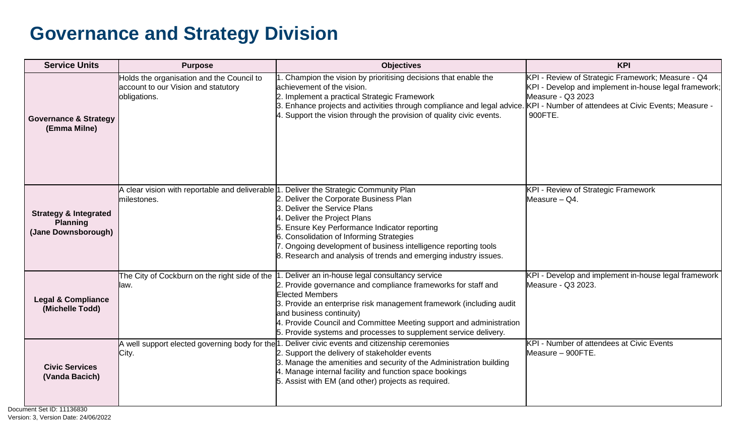#### **Governance and Strategy Division**

| <b>Service Units</b>                                                       | <b>Purpose</b>                                                                                                 | <b>Objectives</b>                                                                                                                                                                                                                                                                                                                                                                                                                       | <b>KPI</b>                                                                                                                                 |
|----------------------------------------------------------------------------|----------------------------------------------------------------------------------------------------------------|-----------------------------------------------------------------------------------------------------------------------------------------------------------------------------------------------------------------------------------------------------------------------------------------------------------------------------------------------------------------------------------------------------------------------------------------|--------------------------------------------------------------------------------------------------------------------------------------------|
| <b>Governance &amp; Strategy</b><br>(Emma Milne)                           | Holds the organisation and the Council to<br>account to our Vision and statutory<br>obligations.               | 1. Champion the vision by prioritising decisions that enable the<br>achievement of the vision.<br>2. Implement a practical Strategic Framework<br>3. Enhance projects and activities through compliance and legal advice. KPI - Number of attendees at Civic Events; Measure -<br>4. Support the vision through the provision of quality civic events.                                                                                  | KPI - Review of Strategic Framework; Measure - Q4<br>KPI - Develop and implement in-house legal framework;<br>Measure - Q3 2023<br>900FTE. |
| <b>Strategy &amp; Integrated</b><br><b>Planning</b><br>(Jane Downsborough) | A clear vision with reportable and deliverable $\vert 1$ . Deliver the Strategic Community Plan<br>milestones. | 2. Deliver the Corporate Business Plan<br>3. Deliver the Service Plans<br>4. Deliver the Project Plans<br>5. Ensure Key Performance Indicator reporting<br>6. Consolidation of Informing Strategies<br>7. Ongoing development of business intelligence reporting tools<br>8. Research and analysis of trends and emerging industry issues.                                                                                              | KPI - Review of Strategic Framework<br>Measure - Q4.                                                                                       |
| <b>Legal &amp; Compliance</b><br>(Michelle Todd)                           | llaw.                                                                                                          | The City of Cockburn on the right side of the 1. Deliver an in-house legal consultancy service<br>2. Provide governance and compliance frameworks for staff and<br><b>Elected Members</b><br>3. Provide an enterprise risk management framework (including audit<br>and business continuity)<br>4. Provide Council and Committee Meeting support and administration<br>5. Provide systems and processes to supplement service delivery. | KPI - Develop and implement in-house legal framework<br>Measure - Q3 2023.                                                                 |
| <b>Civic Services</b><br>(Vanda Bacich)                                    | City.                                                                                                          | A well support elected governing body for the 1. Deliver civic events and citizenship ceremonies<br>2. Support the delivery of stakeholder events<br>3. Manage the amenities and security of the Administration building<br>4. Manage internal facility and function space bookings<br>5. Assist with EM (and other) projects as required.                                                                                              | <b>KPI - Number of attendees at Civic Events</b><br>Measure - 900FTE.                                                                      |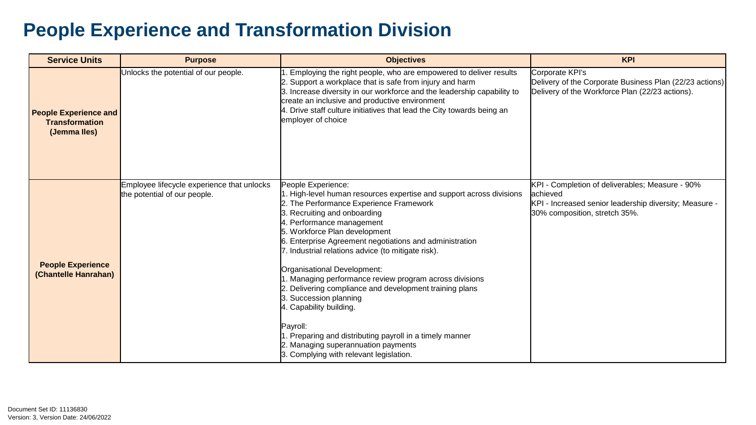### **People Experience and Transformation Division**

| <b>Service Units</b>                                                  | <b>Purpose</b>                                                             | <b>Objectives</b>                                                                                                                                                                                                                                                                                                                                                                                                                                                                                                                                                                                                                                                                                                        | <b>KPI</b>                                                                                                                                              |
|-----------------------------------------------------------------------|----------------------------------------------------------------------------|--------------------------------------------------------------------------------------------------------------------------------------------------------------------------------------------------------------------------------------------------------------------------------------------------------------------------------------------------------------------------------------------------------------------------------------------------------------------------------------------------------------------------------------------------------------------------------------------------------------------------------------------------------------------------------------------------------------------------|---------------------------------------------------------------------------------------------------------------------------------------------------------|
| <b>People Experience and</b><br><b>Transformation</b><br>(Jemma Iles) | Unlocks the potential of our people.                                       | 1. Employing the right people, who are empowered to deliver results<br>2. Support a workplace that is safe from injury and harm<br>3. Increase diversity in our workforce and the leadership capability to<br>create an inclusive and productive environment<br>4. Drive staff culture initiatives that lead the City towards being an<br>employer of choice                                                                                                                                                                                                                                                                                                                                                             | Corporate KPI's<br>Delivery of the Corporate Business Plan (22/23 actions)<br>Delivery of the Workforce Plan (22/23 actions).                           |
| <b>People Experience</b><br>(Chantelle Hanrahan)                      | Employee lifecycle experience that unlocks<br>the potential of our people. | People Experience:<br>1. High-level human resources expertise and support across divisions<br>2. The Performance Experience Framework<br>3. Recruiting and onboarding<br>4. Performance management<br>5. Workforce Plan development<br>6. Enterprise Agreement negotiations and administration<br>7. Industrial relations advice (to mitigate risk).<br>Organisational Development:<br>1. Managing performance review program across divisions<br>2. Delivering compliance and development training plans<br>3. Succession planning<br>4. Capability building.<br>Payroll:<br>1. Preparing and distributing payroll in a timely manner<br>2. Managing superannuation payments<br>3. Complying with relevant legislation. | KPI - Completion of deliverables; Measure - 90%<br>lachieved<br>KPI - Increased senior leadership diversity; Measure -<br>30% composition, stretch 35%. |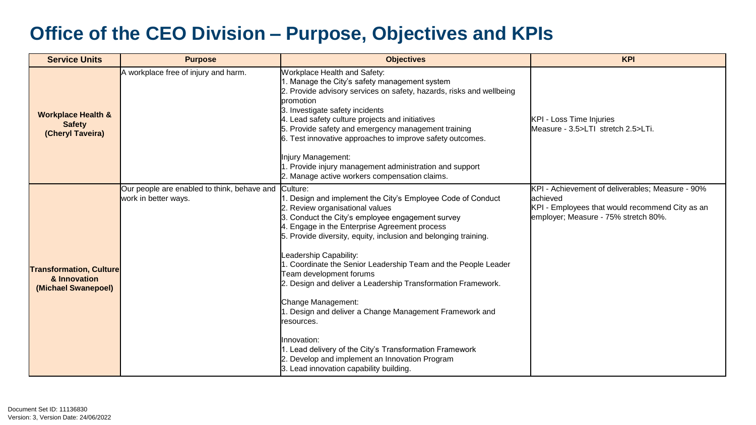#### **Office of the CEO Division – Purpose, Objectives and KPIs**

| <b>Service Units</b>                                                  | <b>Purpose</b>                                                      | <b>Objectives</b>                                                                                                                                                                                                                                                                                                                                                                                                                                                                                                                                                                                                                                                                                                                                | <b>KPI</b>                                                                                                                                               |
|-----------------------------------------------------------------------|---------------------------------------------------------------------|--------------------------------------------------------------------------------------------------------------------------------------------------------------------------------------------------------------------------------------------------------------------------------------------------------------------------------------------------------------------------------------------------------------------------------------------------------------------------------------------------------------------------------------------------------------------------------------------------------------------------------------------------------------------------------------------------------------------------------------------------|----------------------------------------------------------------------------------------------------------------------------------------------------------|
| <b>Workplace Health &amp;</b><br><b>Safety</b><br>(Cheryl Taveira)    | A workplace free of injury and harm.                                | Workplace Health and Safety:<br>1. Manage the City's safety management system<br>2. Provide advisory services on safety, hazards, risks and wellbeing<br>promotion<br>3. Investigate safety incidents<br>4. Lead safety culture projects and initiatives<br>5. Provide safety and emergency management training<br>6. Test innovative approaches to improve safety outcomes.<br>Injury Management:<br>1. Provide injury management administration and support<br>2. Manage active workers compensation claims.                                                                                                                                                                                                                                   | KPI - Loss Time Injuries<br>Measure - 3.5>LTI stretch 2.5>LTi.                                                                                           |
| <b>Transformation, Culture</b><br>& Innovation<br>(Michael Swanepoel) | Our people are enabled to think, behave and<br>work in better ways. | Culture:<br>1. Design and implement the City's Employee Code of Conduct<br>2. Review organisational values<br>3. Conduct the City's employee engagement survey<br>4. Engage in the Enterprise Agreement process<br>5. Provide diversity, equity, inclusion and belonging training.<br>Leadership Capability:<br>1. Coordinate the Senior Leadership Team and the People Leader<br>Team development forums<br>2. Design and deliver a Leadership Transformation Framework.<br>Change Management:<br>1. Design and deliver a Change Management Framework and<br>resources.<br>Ilnnovation:<br>1. Lead delivery of the City's Transformation Framework<br>2. Develop and implement an Innovation Program<br>3. Lead innovation capability building. | KPI - Achievement of deliverables; Measure - 90%<br>lachieved<br>KPI - Employees that would recommend City as an<br>employer; Measure - 75% stretch 80%. |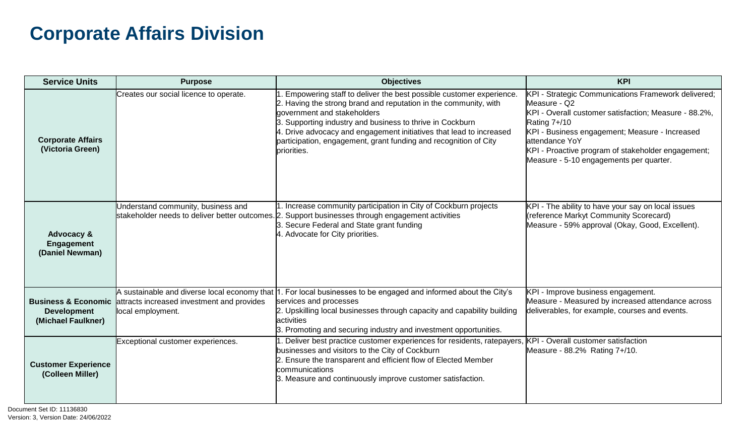### **Corporate Affairs Division**

| <b>Service Units</b>                                          | <b>Purpose</b>                                                                                                                                 | <b>Objectives</b>                                                                                                                                                                                                                                                                                                                                                                            | <b>KPI</b>                                                                                                                                                                                                                                                                                                         |
|---------------------------------------------------------------|------------------------------------------------------------------------------------------------------------------------------------------------|----------------------------------------------------------------------------------------------------------------------------------------------------------------------------------------------------------------------------------------------------------------------------------------------------------------------------------------------------------------------------------------------|--------------------------------------------------------------------------------------------------------------------------------------------------------------------------------------------------------------------------------------------------------------------------------------------------------------------|
| <b>Corporate Affairs</b><br>(Victoria Green)                  | Creates our social licence to operate.                                                                                                         | Empowering staff to deliver the best possible customer experience.<br>2. Having the strong brand and reputation in the community, with<br>government and stakeholders<br>3. Supporting industry and business to thrive in Cockburn<br>4. Drive advocacy and engagement initiatives that lead to increased<br>participation, engagement, grant funding and recognition of City<br>priorities. | KPI - Strategic Communications Framework delivered;<br>Measure - Q2<br>KPI - Overall customer satisfaction; Measure - 88.2%,<br>Rating 7+/10<br>KPI - Business engagement; Measure - Increased<br>lattendance YoY<br>KPI - Proactive program of stakeholder engagement;<br>Measure - 5-10 engagements per quarter. |
| <b>Advocacy &amp;</b><br><b>Engagement</b><br>(Daniel Newman) | Understand community, business and<br>stakeholder needs to deliver better outcomes. 2                                                          | Increase community participation in City of Cockburn projects<br>Support businesses through engagement activities<br>3. Secure Federal and State grant funding<br>4. Advocate for City priorities.                                                                                                                                                                                           | KPI - The ability to have your say on local issues<br>(reference Markyt Community Scorecard)<br>Measure - 59% approval (Okay, Good, Excellent).                                                                                                                                                                    |
| <b>Development</b><br>(Michael Faulkner)                      | A sustainable and diverse local economy that<br><b>Business &amp; Economic</b> attracts increased investment and provides<br>local employment. | . For local businesses to be engaged and informed about the City's<br>services and processes<br>2. Upskilling local businesses through capacity and capability building<br>activities<br>3. Promoting and securing industry and investment opportunities.                                                                                                                                    | KPI - Improve business engagement.<br>Measure - Measured by increased attendance across<br>deliverables, for example, courses and events.                                                                                                                                                                          |
| <b>Customer Experience</b><br>(Colleen Miller)                | Exceptional customer experiences.                                                                                                              | . Deliver best practice customer experiences for residents, ratepayers, KPI - Overall customer satisfaction<br>businesses and visitors to the City of Cockburn<br>2. Ensure the transparent and efficient flow of Elected Member<br>communications<br>3. Measure and continuously improve customer satisfaction.                                                                             | Measure - 88.2% Rating 7+/10.                                                                                                                                                                                                                                                                                      |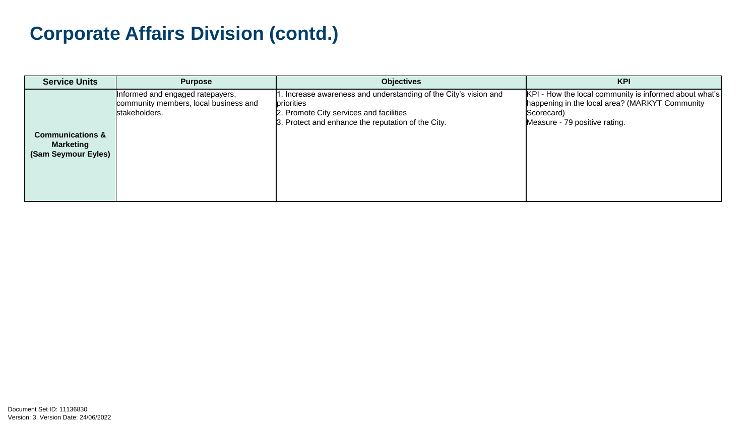### **Corporate Affairs Division (contd.)**

| <b>Service Units</b>                                                   | <b>Purpose</b>                                                                             | <b>Objectives</b>                                                                                                                                                               | <b>KPI</b>                                                                                                                                              |
|------------------------------------------------------------------------|--------------------------------------------------------------------------------------------|---------------------------------------------------------------------------------------------------------------------------------------------------------------------------------|---------------------------------------------------------------------------------------------------------------------------------------------------------|
| <b>Communications &amp;</b><br><b>Marketing</b><br>(Sam Seymour Eyles) | Informed and engaged ratepayers,<br>community members, local business and<br>stakeholders. | 1. Increase awareness and understanding of the City's vision and<br>priorities<br>2. Promote City services and facilities<br>3. Protect and enhance the reputation of the City. | KPI - How the local community is informed about what's<br>happening in the local area? (MARKYT Community<br>Scorecard)<br>Measure - 79 positive rating. |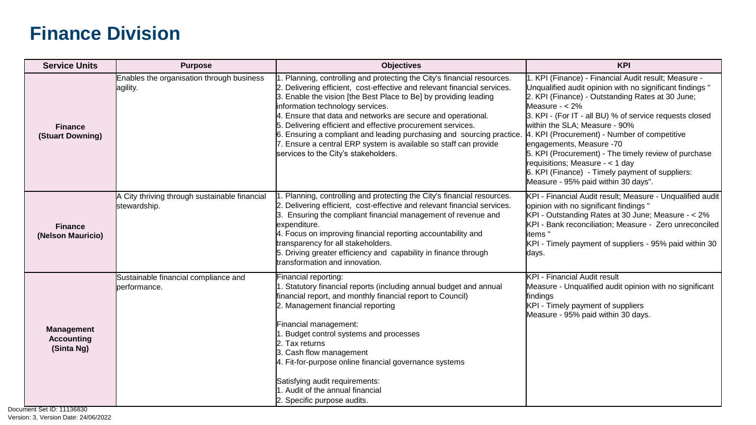| <b>Service Units</b>                                                          | <b>Purpose</b>                                                | <b>Objectives</b>                                                                                                                                                                                                                                                                                                                                                                                                                                                                                                                                                            | <b>KPI</b>                                                                                                                                                                                                                                                                                                                                                                                                                                                                                                                                             |
|-------------------------------------------------------------------------------|---------------------------------------------------------------|------------------------------------------------------------------------------------------------------------------------------------------------------------------------------------------------------------------------------------------------------------------------------------------------------------------------------------------------------------------------------------------------------------------------------------------------------------------------------------------------------------------------------------------------------------------------------|--------------------------------------------------------------------------------------------------------------------------------------------------------------------------------------------------------------------------------------------------------------------------------------------------------------------------------------------------------------------------------------------------------------------------------------------------------------------------------------------------------------------------------------------------------|
| <b>Finance</b><br>(Stuart Downing)                                            | Enables the organisation through business<br>agility.         | Planning, controlling and protecting the City's financial resources.<br>2. Delivering efficient, cost-effective and relevant financial services.<br>3. Enable the vision [the Best Place to Be] by providing leading<br>information technology services.<br>4. Ensure that data and networks are secure and operational.<br>5. Delivering efficient and effective procurement services.<br>6. Ensuring a compliant and leading purchasing and sourcing practice.<br>7. Ensure a central ERP system is available so staff can provide<br>services to the City's stakeholders. | I. KPI (Finance) - Financial Audit result; Measure -<br>Unqualified audit opinion with no significant findings "<br>2. KPI (Finance) - Outstanding Rates at 30 June;<br>Measure $- < 2\%$<br>3. KPI - (For IT - all BU) % of service requests closed<br>within the SLA; Measure - 90%<br>4. KPI (Procurement) - Number of competitive<br>engagements, Measure -70<br>5. KPI (Procurement) - The timely review of purchase<br>requisitions; Measure - < 1 day<br>6. KPI (Finance) - Timely payment of suppliers:<br>Measure - 95% paid within 30 days". |
| <b>Finance</b><br>(Nelson Mauricio)                                           | A City thriving through sustainable financial<br>stewardship. | . Planning, controlling and protecting the City's financial resources.<br>2. Delivering efficient, cost-effective and relevant financial services.<br>Ensuring the compliant financial management of revenue and<br>l3.<br>expenditure.<br>4. Focus on improving financial reporting accountability and<br>transparency for all stakeholders.<br>5. Driving greater efficiency and capability in finance through<br>transformation and innovation.                                                                                                                           | KPI - Financial Audit result; Measure - Unqualified audit<br>opinion with no significant findings "<br>KPI - Outstanding Rates at 30 June; Measure - < 2%<br>KPI - Bank reconciliation; Measure - Zero unreconciled<br>litems "<br>KPI - Timely payment of suppliers - 95% paid within 30<br>days.                                                                                                                                                                                                                                                     |
| <b>Management</b><br><b>Accounting</b><br>(Sinta Ng)<br>mant Sat ID: 11136830 | Sustainable financial compliance and<br>performance.          | Financial reporting:<br>1. Statutory financial reports (including annual budget and annual<br>financial report, and monthly financial report to Council)<br>2. Management financial reporting<br>Financial management:<br>1. Budget control systems and processes<br>2. Tax returns<br>3. Cash flow management<br>4. Fit-for-purpose online financial governance systems<br>Satisfying audit requirements:<br>1. Audit of the annual financial<br>2. Specific purpose audits.                                                                                                | <b>KPI - Financial Audit result</b><br>Measure - Unqualified audit opinion with no significant<br>findings<br>KPI - Timely payment of suppliers<br>Measure - 95% paid within 30 days.                                                                                                                                                                                                                                                                                                                                                                  |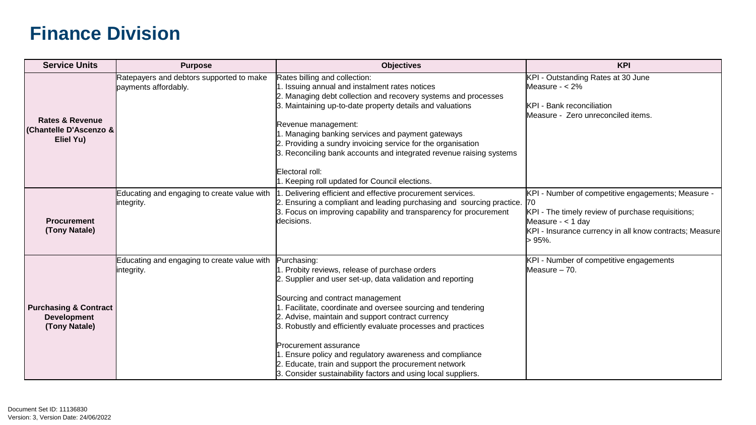| <b>Service Units</b>                                                        | <b>Purpose</b>                                                   | <b>Objectives</b>                                                                                                                                                                                                                                                                                                                                                                                                                                                                                                                                           | <b>KPI</b>                                                                                                                                                                                                        |
|-----------------------------------------------------------------------------|------------------------------------------------------------------|-------------------------------------------------------------------------------------------------------------------------------------------------------------------------------------------------------------------------------------------------------------------------------------------------------------------------------------------------------------------------------------------------------------------------------------------------------------------------------------------------------------------------------------------------------------|-------------------------------------------------------------------------------------------------------------------------------------------------------------------------------------------------------------------|
| <b>Rates &amp; Revenue</b><br><b>Chantelle D'Ascenzo &amp;</b><br>Eliel Yu) | Ratepayers and debtors supported to make<br>payments affordably. | Rates billing and collection:<br>I. Issuing annual and instalment rates notices<br>2. Managing debt collection and recovery systems and processes<br>3. Maintaining up-to-date property details and valuations<br>Revenue management:<br>. Managing banking services and payment gateways<br>2. Providing a sundry invoicing service for the organisation<br>3. Reconciling bank accounts and integrated revenue raising systems<br>Electoral roll:<br>. Keeping roll updated for Council elections.                                                        | KPI - Outstanding Rates at 30 June<br>Measure $- < 2\%$<br><b>KPI</b> - Bank reconciliation<br>Measure - Zero unreconciled items.                                                                                 |
| <b>Procurement</b><br>(Tony Natale)                                         | Educating and engaging to create value with<br>integrity.        | . Delivering efficient and effective procurement services.<br>2. Ensuring a compliant and leading purchasing and sourcing practice.<br>3. Focus on improving capability and transparency for procurement<br>decisions.                                                                                                                                                                                                                                                                                                                                      | KPI - Number of competitive engagements; Measure -<br><b>170</b><br>KPI - The timely review of purchase requisitions;<br>Measure $-$ < 1 day<br>KPI - Insurance currency in all know contracts; Measure<br>> 95%. |
| <b>Purchasing &amp; Contract</b><br><b>Development</b><br>(Tony Natale)     | Educating and engaging to create value with<br>integrity.        | Purchasing:<br>. Probity reviews, release of purchase orders<br>2. Supplier and user set-up, data validation and reporting<br>Sourcing and contract management<br>. Facilitate, coordinate and oversee sourcing and tendering<br>2. Advise, maintain and support contract currency<br>3. Robustly and efficiently evaluate processes and practices<br>Procurement assurance<br>Ensure policy and regulatory awareness and compliance<br>Educate, train and support the procurement network<br>3. Consider sustainability factors and using local suppliers. | KPI - Number of competitive engagements<br>Measure $-70$ .                                                                                                                                                        |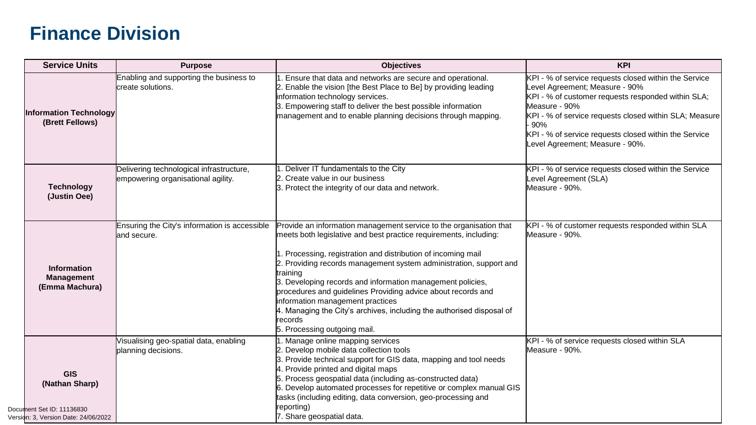| <b>Service Units</b>                                                                              | <b>Purpose</b>                                                                 | <b>Objectives</b>                                                                                                                                                                                                                                                                                                                                                                                                                                                                                                                                                              | <b>KPI</b>                                                                                                                                                                                                                                                                                                                 |
|---------------------------------------------------------------------------------------------------|--------------------------------------------------------------------------------|--------------------------------------------------------------------------------------------------------------------------------------------------------------------------------------------------------------------------------------------------------------------------------------------------------------------------------------------------------------------------------------------------------------------------------------------------------------------------------------------------------------------------------------------------------------------------------|----------------------------------------------------------------------------------------------------------------------------------------------------------------------------------------------------------------------------------------------------------------------------------------------------------------------------|
| <b>Information Technology</b><br>(Brett Fellows)                                                  | Enabling and supporting the business to<br>create solutions.                   | Ensure that data and networks are secure and operational.<br>Enable the vision [the Best Place to Be] by providing leading<br>information technology services.<br>Empowering staff to deliver the best possible information<br>management and to enable planning decisions through mapping.                                                                                                                                                                                                                                                                                    | KPI - % of service requests closed within the Service<br>evel Agreement; Measure - 90%<br>KPI - % of customer requests responded within SLA;<br>Measure - 90%<br>KPI - % of service requests closed within SLA; Measure<br>90%<br>KPI - % of service requests closed within the Service<br>Level Agreement; Measure - 90%. |
| <b>Technology</b><br>(Justin Oee)                                                                 | Delivering technological infrastructure,<br>empowering organisational agility. | Deliver IT fundamentals to the City<br>2. Create value in our business<br>3. Protect the integrity of our data and network.                                                                                                                                                                                                                                                                                                                                                                                                                                                    | KPI - % of service requests closed within the Service<br>Level Agreement (SLA)<br>Measure - 90%.                                                                                                                                                                                                                           |
| <b>Information</b><br><b>Management</b><br>(Emma Machura)                                         | Ensuring the City's information is accessible<br>land secure.                  | Provide an information management service to the organisation that<br>meets both legislative and best practice requirements, including:<br>. Processing, registration and distribution of incoming mail<br>2. Providing records management system administration, support and<br>training<br>3. Developing records and information management policies,<br>procedures and guidelines Providing advice about records and<br>information management practices<br>. Managing the City's archives, including the authorised disposal of<br>records<br>5. Processing outgoing mail. | KPI - % of customer requests responded within SLA<br>Measure - 90%.                                                                                                                                                                                                                                                        |
| <b>GIS</b><br>(Nathan Sharp)<br>Document Set ID: 11136830<br>Version: 3, Version Date: 24/06/2022 | Visualising geo-spatial data, enabling<br>planning decisions.                  | . Manage online mapping services<br>Develop mobile data collection tools<br>Provide technical support for GIS data, mapping and tool needs<br>Provide printed and digital maps<br>Process geospatial data (including as-constructed data)<br>Develop automated processes for repetitive or complex manual GIS<br>tasks (including editing, data conversion, geo-processing and<br>reporting)<br>. Share geospatial data.                                                                                                                                                       | KPI - % of service requests closed within SLA<br>Measure - 90%.                                                                                                                                                                                                                                                            |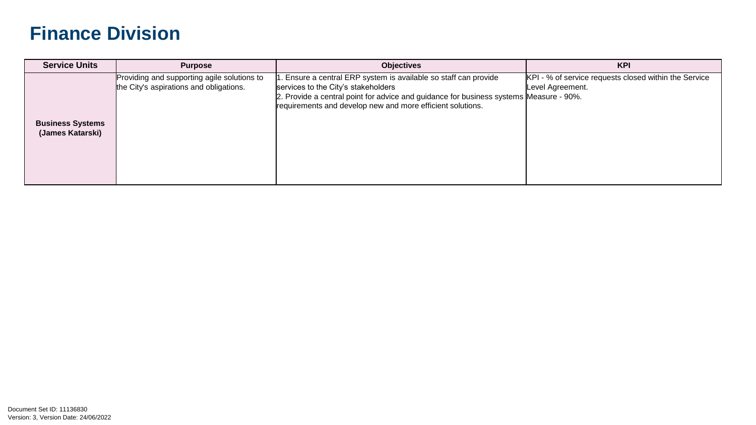| <b>Service Units</b>                        | <b>Purpose</b>                                                                         | <b>Objectives</b>                                                                                                                                                                                                                                               | <b>KPI</b>                                                                |
|---------------------------------------------|----------------------------------------------------------------------------------------|-----------------------------------------------------------------------------------------------------------------------------------------------------------------------------------------------------------------------------------------------------------------|---------------------------------------------------------------------------|
| <b>Business Systems</b><br>(James Katarski) | Providing and supporting agile solutions to<br>the City's aspirations and obligations. | 1. Ensure a central ERP system is available so staff can provide<br>services to the City's stakeholders<br>2. Provide a central point for advice and guidance for business systems Measure - 90%.<br>requirements and develop new and more efficient solutions. | KPI - % of service requests closed within the Service<br>Level Agreement. |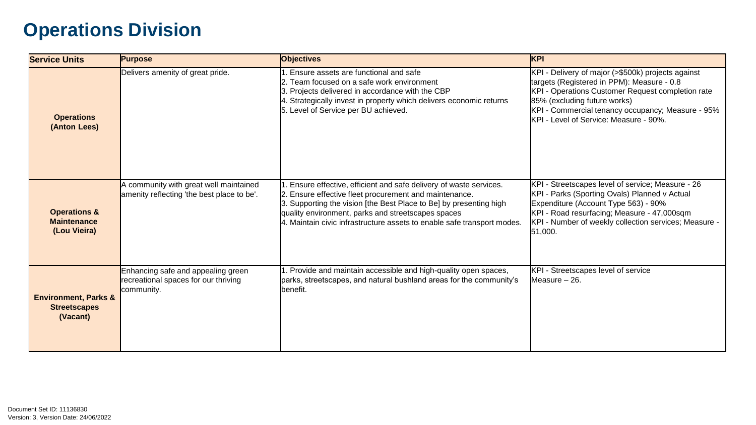| <b>Service Units</b>                                               | <b>Purpose</b>                                                                           | <b>Objectives</b>                                                                                                                                                                                                                                                                                                                   | <b>KPI</b>                                                                                                                                                                                                                                                                           |
|--------------------------------------------------------------------|------------------------------------------------------------------------------------------|-------------------------------------------------------------------------------------------------------------------------------------------------------------------------------------------------------------------------------------------------------------------------------------------------------------------------------------|--------------------------------------------------------------------------------------------------------------------------------------------------------------------------------------------------------------------------------------------------------------------------------------|
| <b>Operations</b><br>(Anton Lees)                                  | Delivers amenity of great pride.                                                         | . Ensure assets are functional and safe<br>2. Team focused on a safe work environment<br>3. Projects delivered in accordance with the CBP<br>4. Strategically invest in property which delivers economic returns<br>5. Level of Service per BU achieved.                                                                            | KPI - Delivery of major (>\$500k) projects against<br>targets (Registered in PPM): Measure - 0.8<br>KPI - Operations Customer Request completion rate<br>85% (excluding future works)<br>KPI - Commercial tenancy occupancy; Measure - 95%<br>KPI - Level of Service: Measure - 90%. |
| <b>Operations &amp;</b><br><b>Maintenance</b><br>(Lou Vieira)      | A community with great well maintained<br>amenity reflecting 'the best place to be'.     | . Ensure effective, efficient and safe delivery of waste services.<br>2. Ensure effective fleet procurement and maintenance.<br>3. Supporting the vision [the Best Place to Be] by presenting high<br>quality environment, parks and streetscapes spaces<br>4. Maintain civic infrastructure assets to enable safe transport modes. | KPI - Streetscapes level of service; Measure - 26<br>KPI - Parks (Sporting Ovals) Planned v Actual<br>Expenditure (Account Type 563) - 90%<br>KPI - Road resurfacing; Measure - 47,000sqm<br>KPI - Number of weekly collection services; Measure -<br>51,000.                        |
| <b>Environment, Parks &amp;</b><br><b>Streetscapes</b><br>(Vacant) | Enhancing safe and appealing green<br>recreational spaces for our thriving<br>community. | 1. Provide and maintain accessible and high-quality open spaces,<br>parks, streetscapes, and natural bushland areas for the community's<br>benefit.                                                                                                                                                                                 | KPI - Streetscapes level of service<br>Measure - 26.                                                                                                                                                                                                                                 |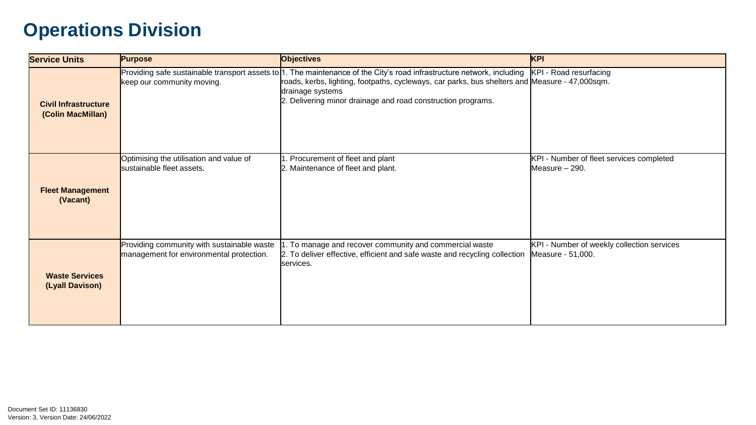| <b>Service Units</b>                             | <b>Purpose</b>                                                                         | <b>Objectives</b>                                                                                                                                                                                                                                                                                            | KPI                                                             |
|--------------------------------------------------|----------------------------------------------------------------------------------------|--------------------------------------------------------------------------------------------------------------------------------------------------------------------------------------------------------------------------------------------------------------------------------------------------------------|-----------------------------------------------------------------|
| <b>Civil Infrastructure</b><br>(Colin MacMillan) | keep our community moving.                                                             | Providing safe sustainable transport assets to 1. The maintenance of the City's road infrastructure network, including<br>roads, kerbs, lighting, footpaths, cycleways, car parks, bus shelters and Measure - 47,000sqm.<br>drainage systems<br>2. Delivering minor drainage and road construction programs. | KPI - Road resurfacing                                          |
| <b>Fleet Management</b><br>(Vacant)              | Optimising the utilisation and value of<br>sustainable fleet assets.                   | 1. Procurement of fleet and plant<br>2. Maintenance of fleet and plant.                                                                                                                                                                                                                                      | KPI - Number of fleet services completed<br>Measure - 290.      |
| <b>Waste Services</b><br>(Lyall Davison)         | Providing community with sustainable waste<br>management for environmental protection. | . To manage and recover community and commercial waste<br>2. To deliver effective, efficient and safe waste and recycling collection<br>Iservices.                                                                                                                                                           | KPI - Number of weekly collection services<br>Measure - 51,000. |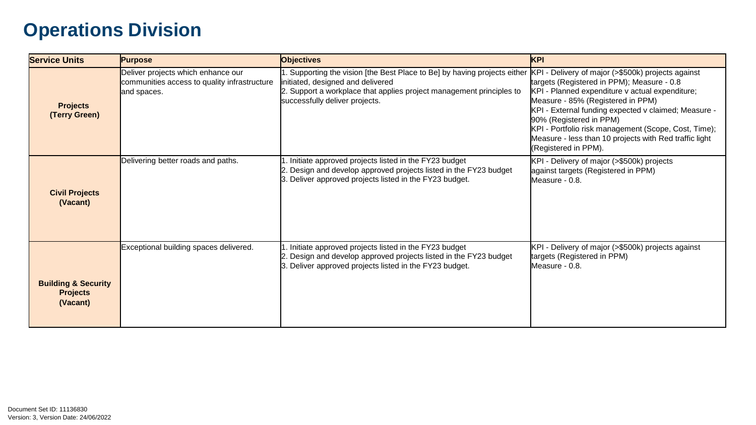| <b>Service Units</b>                                          | <b>Purpose</b>                                                                                    | <b>Objectives</b>                                                                                                                                                                                                        | <b>KPI</b>                                                                                                                                                                                                                                                                                                                                                                                                            |
|---------------------------------------------------------------|---------------------------------------------------------------------------------------------------|--------------------------------------------------------------------------------------------------------------------------------------------------------------------------------------------------------------------------|-----------------------------------------------------------------------------------------------------------------------------------------------------------------------------------------------------------------------------------------------------------------------------------------------------------------------------------------------------------------------------------------------------------------------|
| <b>Projects</b><br>(Terry Green)                              | Deliver projects which enhance our<br>communities access to quality infrastructure<br>and spaces. | 1. Supporting the vision [the Best Place to Be] by having projects either<br>initiated, designed and delivered<br>2. Support a workplace that applies project management principles to<br>successfully deliver projects. | KPI - Delivery of major (>\$500k) projects against<br>targets (Registered in PPM); Measure - 0.8<br>KPI - Planned expenditure v actual expenditure;<br>Measure - 85% (Registered in PPM)<br>KPI - External funding expected v claimed; Measure -<br>90% (Registered in PPM)<br>KPI - Portfolio risk management (Scope, Cost, Time);<br>Measure - less than 10 projects with Red traffic light<br>(Registered in PPM). |
| <b>Civil Projects</b><br>(Vacant)                             | Delivering better roads and paths.                                                                | 1. Initiate approved projects listed in the FY23 budget<br>2. Design and develop approved projects listed in the FY23 budget<br>3. Deliver approved projects listed in the FY23 budget.                                  | KPI - Delivery of major (>\$500k) projects<br>against targets (Registered in PPM)<br>Measure - 0.8.                                                                                                                                                                                                                                                                                                                   |
| <b>Building &amp; Security</b><br><b>Projects</b><br>(Vacant) | Exceptional building spaces delivered.                                                            | 1. Initiate approved projects listed in the FY23 budget<br>2. Design and develop approved projects listed in the FY23 budget<br>3. Deliver approved projects listed in the FY23 budget.                                  | KPI - Delivery of major (>\$500k) projects against<br>targets (Registered in PPM)<br>Measure - 0.8.                                                                                                                                                                                                                                                                                                                   |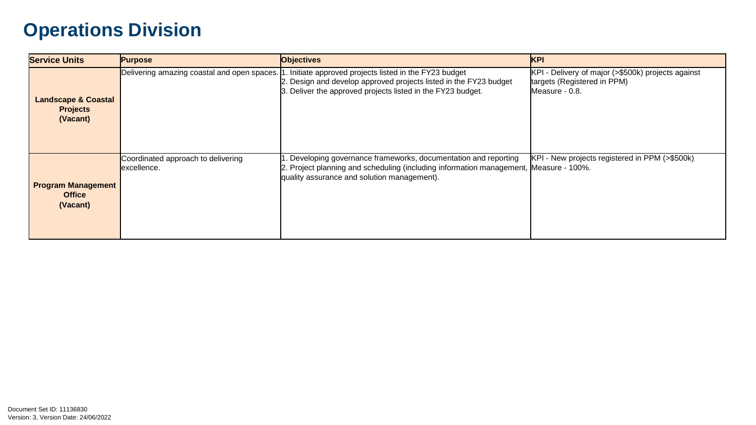| <b>Service Units</b>                                          | <b>Purpose</b>                                     | <b>Objectives</b>                                                                                                                                                                                        | <b>KPI</b>                                                                                          |
|---------------------------------------------------------------|----------------------------------------------------|----------------------------------------------------------------------------------------------------------------------------------------------------------------------------------------------------------|-----------------------------------------------------------------------------------------------------|
| <b>Landscape &amp; Coastal</b><br><b>Projects</b><br>(Vacant) | Delivering amazing coastal and open spaces.  1     | . Initiate approved projects listed in the FY23 budget<br>2. Design and develop approved projects listed in the FY23 budget<br>3. Deliver the approved projects listed in the FY23 budget.               | KPI - Delivery of major (>\$500k) projects against<br>targets (Registered in PPM)<br>Measure - 0.8. |
| <b>Program Management</b><br><b>Office</b><br>(Vacant)        | Coordinated approach to delivering<br>lexcellence. | 1. Developing governance frameworks, documentation and reporting<br>2. Project planning and scheduling (including information management, Measure - 100%.<br>quality assurance and solution management). | KPI - New projects registered in PPM (>\$500k)                                                      |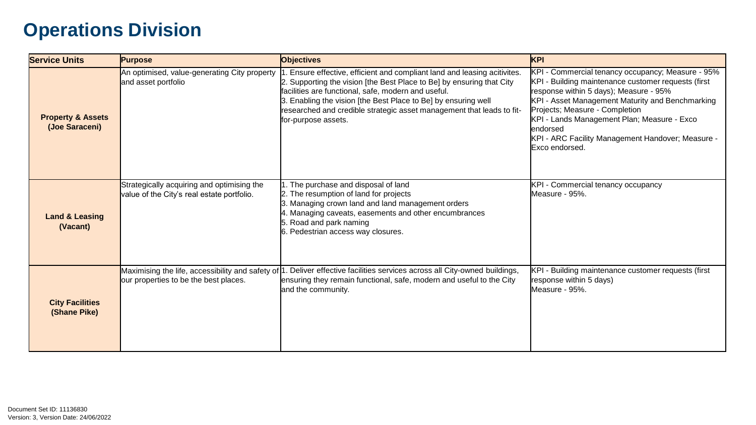| <b>Service Units</b>                           | <b>Purpose</b>                                                                           | <b>Objectives</b>                                                                                                                                                                                                                                                                                                                                                           | KPI                                                                                                                                                                                                                                                                                                                                                                         |
|------------------------------------------------|------------------------------------------------------------------------------------------|-----------------------------------------------------------------------------------------------------------------------------------------------------------------------------------------------------------------------------------------------------------------------------------------------------------------------------------------------------------------------------|-----------------------------------------------------------------------------------------------------------------------------------------------------------------------------------------------------------------------------------------------------------------------------------------------------------------------------------------------------------------------------|
| <b>Property &amp; Assets</b><br>(Joe Saraceni) | An optimised, value-generating City property<br>and asset portfolio                      | 1. Ensure effective, efficient and compliant land and leasing acitivites.<br>2. Supporting the vision [the Best Place to Be] by ensuring that City<br>facilities are functional, safe, modern and useful.<br>3. Enabling the vision [the Best Place to Be] by ensuring well<br>researched and credible strategic asset management that leads to fit-<br>for-purpose assets. | KPI - Commercial tenancy occupancy; Measure - 95%<br>KPI - Building maintenance customer requests (first<br>response within 5 days); Measure - 95%<br>KPI - Asset Management Maturity and Benchmarking<br>Projects; Measure - Completion<br>KPI - Lands Management Plan; Measure - Exco<br>lendorsed<br>KPI - ARC Facility Management Handover; Measure -<br>Exco endorsed. |
| <b>Land &amp; Leasing</b><br>(Vacant)          | Strategically acquiring and optimising the<br>value of the City's real estate portfolio. | 1. The purchase and disposal of land<br>2. The resumption of land for projects<br>3. Managing crown land and land management orders<br>4. Managing caveats, easements and other encumbrances<br>5. Road and park naming<br>6. Pedestrian access way closures.                                                                                                               | KPI - Commercial tenancy occupancy<br>Measure - 95%.                                                                                                                                                                                                                                                                                                                        |
| <b>City Facilities</b><br>(Shane Pike)         | our properties to be the best places.                                                    | Maximising the life, accessibility and safety of 1. Deliver effective facilities services across all City-owned buildings,<br>ensuring they remain functional, safe, modern and useful to the City<br>and the community.                                                                                                                                                    | KPI - Building maintenance customer requests (first<br>response within 5 days)<br>Measure - 95%.                                                                                                                                                                                                                                                                            |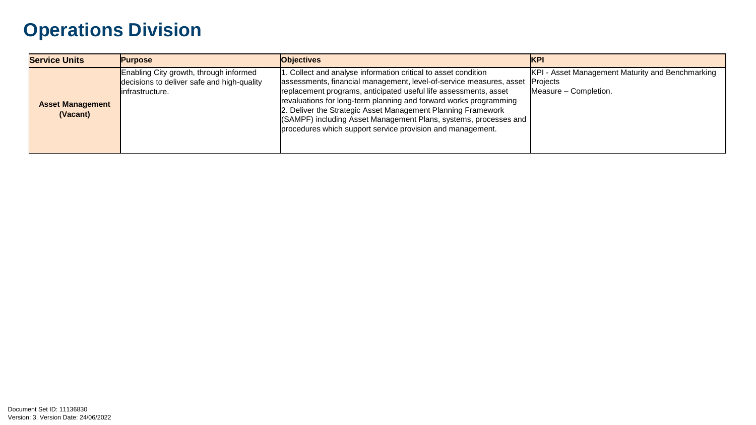| <b>Service Units</b>                | <b>Purpose</b>                                                                                          | <b>Objectives</b>                                                                                                                                                                                                                                                                                                                                                                                                                                                                | <b>IKPI</b>                                                                           |
|-------------------------------------|---------------------------------------------------------------------------------------------------------|----------------------------------------------------------------------------------------------------------------------------------------------------------------------------------------------------------------------------------------------------------------------------------------------------------------------------------------------------------------------------------------------------------------------------------------------------------------------------------|---------------------------------------------------------------------------------------|
| <b>Asset Management</b><br>(Vacant) | Enabling City growth, through informed<br>decisions to deliver safe and high-quality<br>infrastructure. | 1. Collect and analyse information critical to asset condition<br>assessments, financial management, level-of-service measures, asset<br>replacement programs, anticipated useful life assessments, asset<br>revaluations for long-term planning and forward works programming<br>2. Deliver the Strategic Asset Management Planning Framework<br>(SAMPF) including Asset Management Plans, systems, processes and<br>procedures which support service provision and management. | KPI - Asset Management Maturity and Benchmarking<br>Projects<br>Measure – Completion. |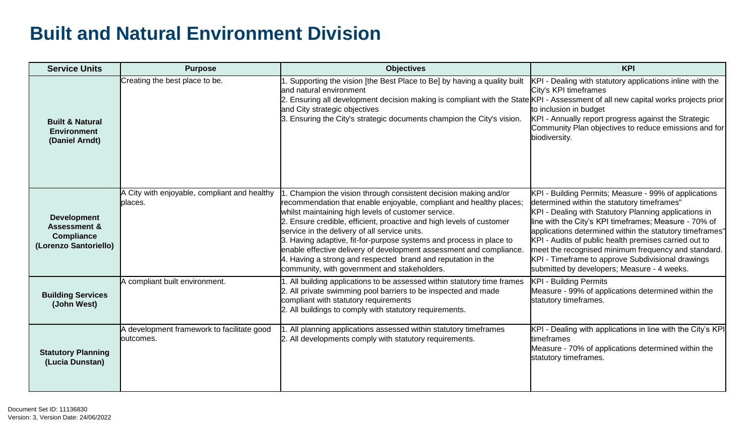| <b>Service Units</b>                                                                 | <b>Purpose</b>                                           | <b>Objectives</b>                                                                                                                                                                                                                                                                                                                                                                                                                                                                                                                                                                    | <b>KPI</b>                                                                                                                                                                                                                                                                                                                                                                                                                                                                                             |
|--------------------------------------------------------------------------------------|----------------------------------------------------------|--------------------------------------------------------------------------------------------------------------------------------------------------------------------------------------------------------------------------------------------------------------------------------------------------------------------------------------------------------------------------------------------------------------------------------------------------------------------------------------------------------------------------------------------------------------------------------------|--------------------------------------------------------------------------------------------------------------------------------------------------------------------------------------------------------------------------------------------------------------------------------------------------------------------------------------------------------------------------------------------------------------------------------------------------------------------------------------------------------|
| <b>Built &amp; Natural</b><br><b>Environment</b><br>(Daniel Arndt)                   | Creating the best place to be.                           | 1. Supporting the vision [the Best Place to Be] by having a quality built<br>and natural environment<br>2. Ensuring all development decision making is compliant with the State KPI - Assessment of all new capital works projects prior<br>and City strategic objectives<br>3. Ensuring the City's strategic documents champion the City's vision.                                                                                                                                                                                                                                  | KPI - Dealing with statutory applications inline with the<br>City's KPI timeframes<br>to inclusion in budget<br>KPI - Annually report progress against the Strategic<br>Community Plan objectives to reduce emissions and for<br>biodiversity.                                                                                                                                                                                                                                                         |
| <b>Development</b><br><b>Assessment &amp;</b><br>Compliance<br>(Lorenzo Santoriello) | A City with enjoyable, compliant and healthy<br>places.  | . Champion the vision through consistent decision making and/or<br>recommendation that enable enjoyable, compliant and healthy places;<br>whilst maintaining high levels of customer service.<br>2. Ensure credible, efficient, proactive and high levels of customer<br>service in the delivery of all service units.<br>3. Having adaptive, fit-for-purpose systems and process in place to<br>enable effective delivery of development assessment and compliance.<br>4. Having a strong and respected brand and reputation in the<br>community, with government and stakeholders. | KPI - Building Permits; Measure - 99% of applications<br>determined within the statutory timeframes"<br>KPI - Dealing with Statutory Planning applications in<br>line with the City's KPI timeframes; Measure - 70% of<br>applications determined within the statutory timeframes"<br>KPI - Audits of public health premises carried out to<br>meet the recognised minimum frequency and standard.<br>KPI - Timeframe to approve Subdivisional drawings<br>submitted by developers; Measure - 4 weeks. |
| <b>Building Services</b><br>(John West)                                              | A compliant built environment.                           | 1. All building applications to be assessed within statutory time frames<br>2. All private swimming pool barriers to be inspected and made<br>compliant with statutory requirements<br>2. All buildings to comply with statutory requirements.                                                                                                                                                                                                                                                                                                                                       | <b>KPI - Building Permits</b><br>Measure - 99% of applications determined within the<br>statutory timeframes.                                                                                                                                                                                                                                                                                                                                                                                          |
| <b>Statutory Planning</b><br>(Lucia Dunstan)                                         | A development framework to facilitate good<br>loutcomes. | 1. All planning applications assessed within statutory timeframes<br>2. All developments comply with statutory requirements.                                                                                                                                                                                                                                                                                                                                                                                                                                                         | KPI - Dealing with applications in line with the City's KPI<br>ltimeframes<br>Measure - 70% of applications determined within the<br>statutory timeframes.                                                                                                                                                                                                                                                                                                                                             |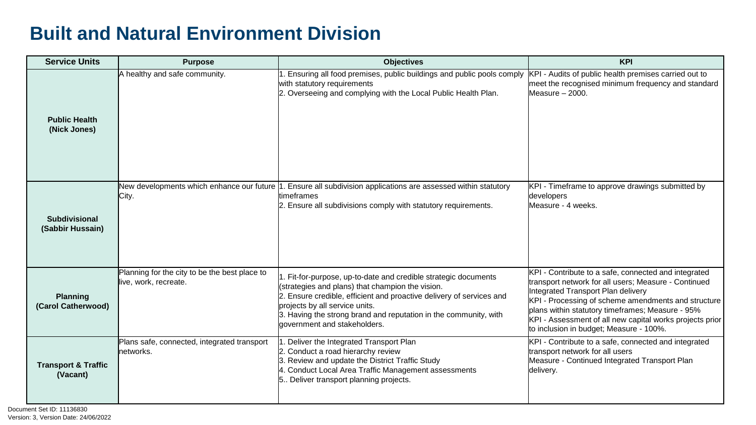| <b>Service Units</b>                       | <b>Purpose</b>                                                         | <b>Objectives</b>                                                                                                                                                                                                                                                                                                                 | <b>KPI</b>                                                                                                                                                                                                                                                                                                                                                           |
|--------------------------------------------|------------------------------------------------------------------------|-----------------------------------------------------------------------------------------------------------------------------------------------------------------------------------------------------------------------------------------------------------------------------------------------------------------------------------|----------------------------------------------------------------------------------------------------------------------------------------------------------------------------------------------------------------------------------------------------------------------------------------------------------------------------------------------------------------------|
| <b>Public Health</b><br>(Nick Jones)       | A healthy and safe community.                                          | . Ensuring all food premises, public buildings and public pools comply<br>with statutory requirements<br>2. Overseeing and complying with the Local Public Health Plan.                                                                                                                                                           | KPI - Audits of public health premises carried out to<br>meet the recognised minimum frequency and standard<br>$Mearure - 2000.$                                                                                                                                                                                                                                     |
| <b>Subdivisional</b><br>(Sabbir Hussain)   | City.                                                                  | New developments which enhance our future 1. Ensure all subdivision applications are assessed within statutory<br>timeframes<br>2. Ensure all subdivisions comply with statutory requirements.                                                                                                                                    | KPI - Timeframe to approve drawings submitted by<br>developers<br>Measure - 4 weeks.                                                                                                                                                                                                                                                                                 |
| <b>Planning</b><br>(Carol Catherwood)      | Planning for the city to be the best place to<br>live, work, recreate. | . Fit-for-purpose, up-to-date and credible strategic documents<br>(strategies and plans) that champion the vision.<br>2. Ensure credible, efficient and proactive delivery of services and<br>projects by all service units.<br>3. Having the strong brand and reputation in the community, with<br>lgovernment and stakeholders. | KPI - Contribute to a safe, connected and integrated<br>transport network for all users; Measure - Continued<br>Integrated Transport Plan delivery<br>KPI - Processing of scheme amendments and structure<br>plans within statutory timeframes; Measure - 95%<br>KPI - Assessment of all new capital works projects prior<br>to inclusion in budget; Measure - 100%. |
| <b>Transport &amp; Traffic</b><br>(Vacant) | Plans safe, connected, integrated transport<br>lnetworks.              | . Deliver the Integrated Transport Plan<br>2. Conduct a road hierarchy review<br>3. Review and update the District Traffic Study<br>4. Conduct Local Area Traffic Management assessments<br>5. Deliver transport planning projects.                                                                                               | KPI - Contribute to a safe, connected and integrated<br>transport network for all users<br>Measure - Continued Integrated Transport Plan<br>delivery.                                                                                                                                                                                                                |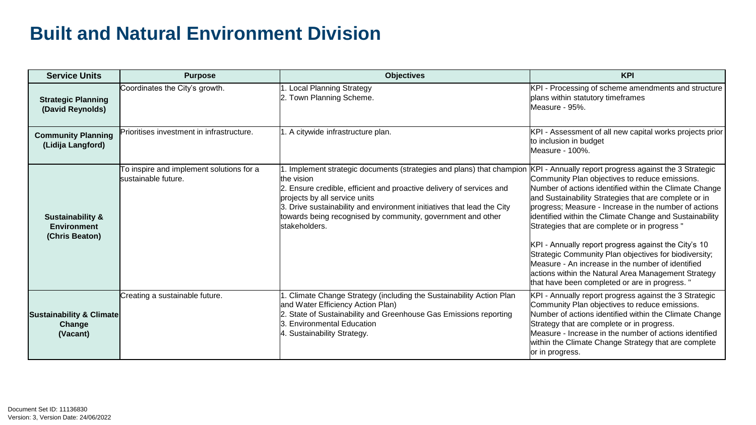| <b>Service Units</b>                                                | <b>Purpose</b>                                                  | <b>Objectives</b>                                                                                                                                                                                                                                                                                                                                   | <b>KPI</b>                                                                                                                                                                                                                                                                                                                                                                                                                                                                                                                                                                                                                                                                     |
|---------------------------------------------------------------------|-----------------------------------------------------------------|-----------------------------------------------------------------------------------------------------------------------------------------------------------------------------------------------------------------------------------------------------------------------------------------------------------------------------------------------------|--------------------------------------------------------------------------------------------------------------------------------------------------------------------------------------------------------------------------------------------------------------------------------------------------------------------------------------------------------------------------------------------------------------------------------------------------------------------------------------------------------------------------------------------------------------------------------------------------------------------------------------------------------------------------------|
| <b>Strategic Planning</b><br>(David Reynolds)                       | Coordinates the City's growth.                                  | <b>Local Planning Strategy</b><br>2. Town Planning Scheme.                                                                                                                                                                                                                                                                                          | KPI - Processing of scheme amendments and structure<br>plans within statutory timeframes<br>Measure - 95%.                                                                                                                                                                                                                                                                                                                                                                                                                                                                                                                                                                     |
| <b>Community Planning</b><br>(Lidija Langford)                      | Prioritises investment in infrastructure.                       | 1. A citywide infrastructure plan.                                                                                                                                                                                                                                                                                                                  | KPI - Assessment of all new capital works projects prior<br>to inclusion in budget<br>Measure - 100%.                                                                                                                                                                                                                                                                                                                                                                                                                                                                                                                                                                          |
| <b>Sustainability &amp;</b><br><b>Environment</b><br>(Chris Beaton) | To inspire and implement solutions for a<br>sustainable future. | Implement strategic documents (strategies and plans) that champion<br>the vision<br>2. Ensure credible, efficient and proactive delivery of services and<br>projects by all service units<br>3. Drive sustainability and environment initiatives that lead the City<br>towards being recognised by community, government and other<br>stakeholders. | KPI - Annually report progress against the 3 Strategic<br>Community Plan objectives to reduce emissions.<br>Number of actions identified within the Climate Change<br>and Sustainability Strategies that are complete or in<br>progress; Measure - Increase in the number of actions<br>identified within the Climate Change and Sustainability<br>Strategies that are complete or in progress "<br>KPI - Annually report progress against the City's 10<br>Strategic Community Plan objectives for biodiversity;<br>Measure - An increase in the number of identified<br>actions within the Natural Area Management Strategy<br>that have been completed or are in progress." |
| <b>Sustainability &amp; Climate</b><br>Change<br>(Vacant)           | Creating a sustainable future.                                  | Climate Change Strategy (including the Sustainability Action Plan<br>and Water Efficiency Action Plan)<br>2. State of Sustainability and Greenhouse Gas Emissions reporting<br>3. Environmental Education<br>4. Sustainability Strategy.                                                                                                            | KPI - Annually report progress against the 3 Strategic<br>Community Plan objectives to reduce emissions.<br>Number of actions identified within the Climate Change<br>Strategy that are complete or in progress.<br>Measure - Increase in the number of actions identified<br>within the Climate Change Strategy that are complete<br>or in progress.                                                                                                                                                                                                                                                                                                                          |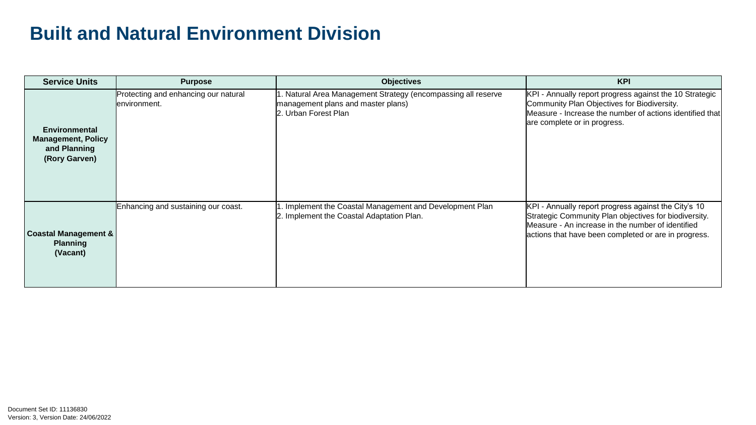| <b>Service Units</b>                                                               | <b>Purpose</b>                                        | <b>Objectives</b>                                                                                                           | <b>KPI</b>                                                                                                                                                                                                                 |
|------------------------------------------------------------------------------------|-------------------------------------------------------|-----------------------------------------------------------------------------------------------------------------------------|----------------------------------------------------------------------------------------------------------------------------------------------------------------------------------------------------------------------------|
| <b>Environmental</b><br><b>Management, Policy</b><br>and Planning<br>(Rory Garven) | Protecting and enhancing our natural<br>lenvironment. | 1. Natural Area Management Strategy (encompassing all reserve<br>management plans and master plans)<br>2. Urban Forest Plan | KPI - Annually report progress against the 10 Strategic<br>Community Plan Objectives for Biodiversity.<br>Measure - Increase the number of actions identified that<br>are complete or in progress.                         |
| <b>Coastal Management &amp;</b><br><b>Planning</b><br>(Vacant)                     | Enhancing and sustaining our coast.                   | Implement the Coastal Management and Development Plan<br>2. Implement the Coastal Adaptation Plan.                          | KPI - Annually report progress against the City's 10<br>Strategic Community Plan objectives for biodiversity.<br>Measure - An increase in the number of identified<br>actions that have been completed or are in progress. |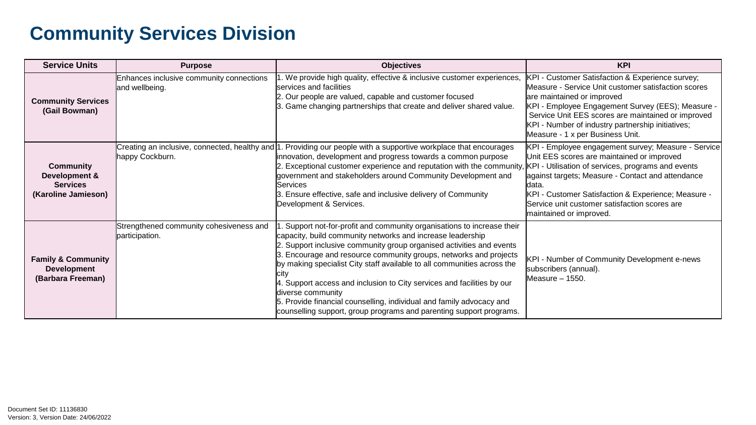| <b>Service Units</b>                                                        | <b>Purpose</b>                                                      | <b>Objectives</b>                                                                                                                                                                                                                                                                                                                                                                                                                                                                                                                                                                                                | <b>KPI</b>                                                                                                                                                                                                                                                                                                                                                |
|-----------------------------------------------------------------------------|---------------------------------------------------------------------|------------------------------------------------------------------------------------------------------------------------------------------------------------------------------------------------------------------------------------------------------------------------------------------------------------------------------------------------------------------------------------------------------------------------------------------------------------------------------------------------------------------------------------------------------------------------------------------------------------------|-----------------------------------------------------------------------------------------------------------------------------------------------------------------------------------------------------------------------------------------------------------------------------------------------------------------------------------------------------------|
| <b>Community Services</b><br>(Gail Bowman)                                  | Enhances inclusive community connections<br>and wellbeing.          | 1. We provide high quality, effective & inclusive customer experiences,<br>services and facilities<br>2. Our people are valued, capable and customer focused<br>3. Game changing partnerships that create and deliver shared value.                                                                                                                                                                                                                                                                                                                                                                              | KPI - Customer Satisfaction & Experience survey;<br>Measure - Service Unit customer satisfaction scores<br>are maintained or improved<br>KPI - Employee Engagement Survey (EES); Measure -<br>Service Unit EES scores are maintained or improved<br>KPI - Number of industry partnership initiatives;<br>Measure - 1 x per Business Unit.                 |
| <b>Community</b><br>Development &<br><b>Services</b><br>(Karoline Jamieson) | Creating an inclusive, connected, healthy and  1<br>happy Cockburn. | . Providing our people with a supportive workplace that encourages<br>innovation, development and progress towards a common purpose<br>2. Exceptional customer experience and reputation with the community,<br>government and stakeholders around Community Development and<br><b>Services</b><br>3. Ensure effective, safe and inclusive delivery of Community<br>Development & Services.                                                                                                                                                                                                                      | KPI - Employee engagement survey; Measure - Service<br>Unit EES scores are maintained or improved<br>KPI - Utilisation of services, programs and events<br>against targets; Measure - Contact and attendance<br>ldata.<br>KPI - Customer Satisfaction & Experience; Measure -<br>Service unit customer satisfaction scores are<br>maintained or improved. |
| <b>Family &amp; Community</b><br><b>Development</b><br>(Barbara Freeman)    | Strengthened community cohesiveness and<br>participation.           | Support not-for-profit and community organisations to increase their<br>capacity, build community networks and increase leadership<br>2. Support inclusive community group organised activities and events<br>3. Encourage and resource community groups, networks and projects<br>by making specialist City staff available to all communities across the<br>city<br>4. Support access and inclusion to City services and facilities by our<br>diverse community<br>5. Provide financial counselling, individual and family advocacy and<br>counselling support, group programs and parenting support programs. | KPI - Number of Community Development e-news<br>subscribers (annual).<br>Measure – 1550.                                                                                                                                                                                                                                                                  |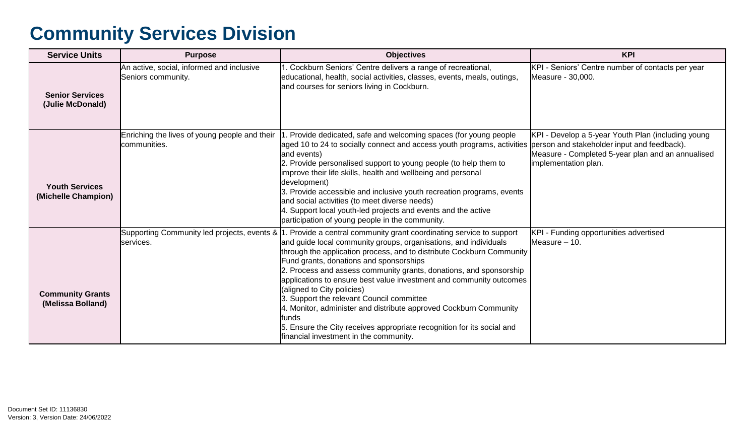| <b>Service Units</b>                         | <b>Purpose</b>                                                  | <b>Objectives</b>                                                                                                                                                                                                                                                                                                                                                                                                                                                                                                                                                                                                                                                                                                                    | <b>KPI</b>                                                                                                                      |
|----------------------------------------------|-----------------------------------------------------------------|--------------------------------------------------------------------------------------------------------------------------------------------------------------------------------------------------------------------------------------------------------------------------------------------------------------------------------------------------------------------------------------------------------------------------------------------------------------------------------------------------------------------------------------------------------------------------------------------------------------------------------------------------------------------------------------------------------------------------------------|---------------------------------------------------------------------------------------------------------------------------------|
| <b>Senior Services</b><br>(Julie McDonald)   | An active, social, informed and inclusive<br>Seniors community. | 1. Cockburn Seniors' Centre delivers a range of recreational,<br>educational, health, social activities, classes, events, meals, outings,<br>and courses for seniors living in Cockburn.                                                                                                                                                                                                                                                                                                                                                                                                                                                                                                                                             | KPI - Seniors' Centre number of contacts per year<br>Measure - 30,000.                                                          |
| <b>Youth Services</b><br>(Michelle Champion) | Enriching the lives of young people and their<br>communities.   | . Provide dedicated, safe and welcoming spaces (for young people<br>laged 10 to 24 to socially connect and access youth programs, activities person and stakeholder input and feedback).<br>and events)<br>2. Provide personalised support to young people (to help them to<br>improve their life skills, health and wellbeing and personal<br>development)<br>3. Provide accessible and inclusive youth recreation programs, events<br>and social activities (to meet diverse needs)<br>4. Support local youth-led projects and events and the active<br>participation of young people in the community.                                                                                                                            | KPI - Develop a 5-year Youth Plan (including young<br>Measure - Completed 5-year plan and an annualised<br>implementation plan. |
| <b>Community Grants</b><br>(Melissa Bolland) | services.                                                       | Supporting Community led projects, events &  1. Provide a central community grant coordinating service to support<br>and guide local community groups, organisations, and individuals<br>through the application process, and to distribute Cockburn Community<br>Fund grants, donations and sponsorships<br>2. Process and assess community grants, donations, and sponsorship<br>applications to ensure best value investment and community outcomes<br>(aligned to City policies)<br>3. Support the relevant Council committee<br>4. Monitor, administer and distribute approved Cockburn Community<br>lfunds<br>5. Ensure the City receives appropriate recognition for its social and<br>financial investment in the community. | KPI - Funding opportunities advertised<br>Measure - 10.                                                                         |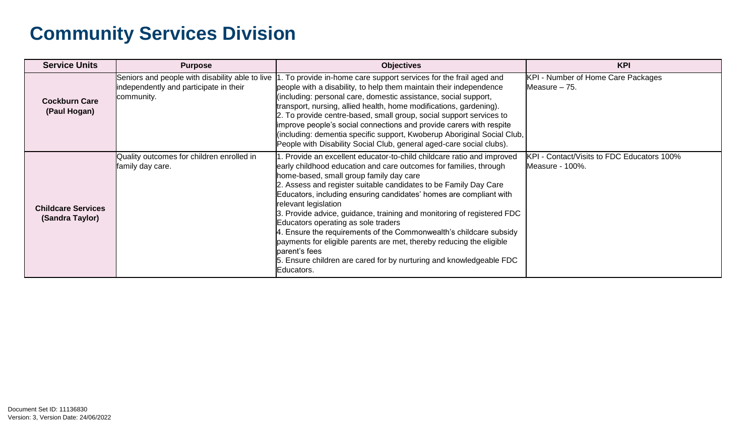| <b>Service Units</b>                         | <b>Purpose</b>                                                                                          | <b>Objectives</b>                                                                                                                                                                                                                                                                                                                                                                                                                                                                                                                                                                                                                                                                                                              | <b>KPI</b>                                                    |
|----------------------------------------------|---------------------------------------------------------------------------------------------------------|--------------------------------------------------------------------------------------------------------------------------------------------------------------------------------------------------------------------------------------------------------------------------------------------------------------------------------------------------------------------------------------------------------------------------------------------------------------------------------------------------------------------------------------------------------------------------------------------------------------------------------------------------------------------------------------------------------------------------------|---------------------------------------------------------------|
| <b>Cockburn Care</b><br>(Paul Hogan)         | Seniors and people with disability able to live<br>independently and participate in their<br>community. | I. To provide in-home care support services for the frail aged and<br>people with a disability, to help them maintain their independence<br>(including: personal care, domestic assistance, social support,<br>transport, nursing, allied health, home modifications, gardening).<br>2. To provide centre-based, small group, social support services to<br>improve people's social connections and provide carers with respite<br>(including: dementia specific support, Kwoberup Aboriginal Social Club,<br>People with Disability Social Club, general aged-care social clubs).                                                                                                                                             | KPI - Number of Home Care Packages<br>Measure - 75.           |
| <b>Childcare Services</b><br>(Sandra Taylor) | Quality outcomes for children enrolled in<br>family day care.                                           | 1. Provide an excellent educator-to-child childcare ratio and improved<br>early childhood education and care outcomes for families, through<br>home-based, small group family day care<br>2. Assess and register suitable candidates to be Family Day Care<br>Educators, including ensuring candidates' homes are compliant with<br>relevant legislation<br>3. Provide advice, guidance, training and monitoring of registered FDC<br>Educators operating as sole traders<br>4. Ensure the requirements of the Commonwealth's childcare subsidy<br>payments for eligible parents are met, thereby reducing the eligible<br>parent's fees<br>5. Ensure children are cared for by nurturing and knowledgeable FDC<br>lEducators. | KPI - Contact/Visits to FDC Educators 100%<br>Measure - 100%. |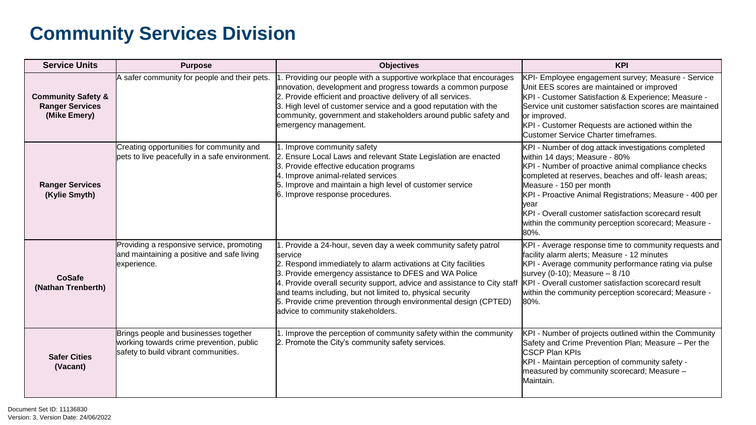| <b>Service Units</b>                                                    | <b>Purpose</b>                                                                                                            | <b>Objectives</b>                                                                                                                                                                                                                                                                                                                                                                                                                                              | <b>KPI</b>                                                                                                                                                                                                                                                                                                                                                                                                               |
|-------------------------------------------------------------------------|---------------------------------------------------------------------------------------------------------------------------|----------------------------------------------------------------------------------------------------------------------------------------------------------------------------------------------------------------------------------------------------------------------------------------------------------------------------------------------------------------------------------------------------------------------------------------------------------------|--------------------------------------------------------------------------------------------------------------------------------------------------------------------------------------------------------------------------------------------------------------------------------------------------------------------------------------------------------------------------------------------------------------------------|
| <b>Community Safety &amp;</b><br><b>Ranger Services</b><br>(Mike Emery) | A safer community for people and their pets.                                                                              | . Providing our people with a supportive workplace that encourages<br>innovation, development and progress towards a common purpose<br>2. Provide efficient and proactive delivery of all services.<br>3. High level of customer service and a good reputation with the<br>community, government and stakeholders around public safety and<br>emergency management.                                                                                            | KPI- Employee engagement survey; Measure - Service<br>Unit EES scores are maintained or improved<br>KPI - Customer Satisfaction & Experience; Measure -<br>Service unit customer satisfaction scores are maintained<br>or improved.<br>KPI - Customer Requests are actioned within the<br><b>Customer Service Charter timeframes.</b>                                                                                    |
| <b>Ranger Services</b><br>(Kylie Smyth)                                 | Creating opportunities for community and<br>pets to live peacefully in a safe environment.                                | 1. Improve community safety<br>2. Ensure Local Laws and relevant State Legislation are enacted<br>3. Provide effective education programs<br>4. Improve animal-related services<br>5. Improve and maintain a high level of customer service<br>6. Improve response procedures.                                                                                                                                                                                 | KPI - Number of dog attack investigations completed<br>within 14 days; Measure - 80%<br>KPI - Number of proactive animal compliance checks<br>completed at reserves, beaches and off-leash areas;<br>Measure - 150 per month<br>KPI - Proactive Animal Registrations; Measure - 400 per<br>lvear<br>KPI - Overall customer satisfaction scorecard result<br>within the community perception scorecard; Measure -<br>80%. |
| <b>CoSafe</b><br>(Nathan Trenberth)                                     | Providing a responsive service, promoting<br>and maintaining a positive and safe living<br>experience.                    | 1. Provide a 24-hour, seven day a week community safety patrol<br><b>service</b><br>2. Respond immediately to alarm activations at City facilities<br>3. Provide emergency assistance to DFES and WA Police<br>4. Provide overall security support, advice and assistance to City staff<br>and teams including, but not limited to, physical security<br>5. Provide crime prevention through environmental design (CPTED)<br>advice to community stakeholders. | KPI - Average response time to community requests and<br>facility alarm alerts; Measure - 12 minutes<br>KPI - Average community performance rating via pulse<br>survey (0-10); Measure - 8/10<br>KPI - Overall customer satisfaction scorecard result<br>within the community perception scorecard; Measure -<br>80%.                                                                                                    |
| <b>Safer Cities</b><br>(Vacant)                                         | Brings people and businesses together<br>working towards crime prevention, public<br>safety to build vibrant communities. | 1. Improve the perception of community safety within the community<br>2. Promote the City's community safety services.                                                                                                                                                                                                                                                                                                                                         | KPI - Number of projects outlined within the Community<br>Safety and Crime Prevention Plan; Measure - Per the<br><b>I</b> CSCP Plan KPIs<br>KPI - Maintain perception of community safety -<br>measured by community scorecard; Measure -<br><b>Maintain.</b>                                                                                                                                                            |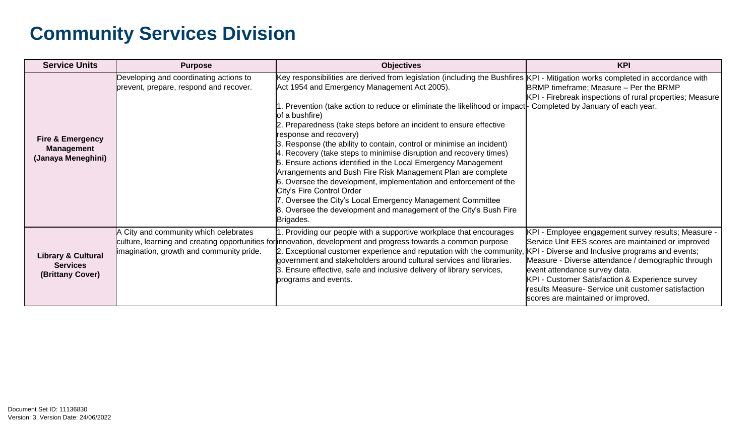| <b>Service Units</b>                                                   | <b>Purpose</b>                                                                     | <b>Objectives</b>                                                                                                                                                                                                                                                                                                                                                                                                                                                                                                                                                                                                                                                                                                                                                                                                                                                                                                                                      | <b>KPI</b>                                                                                                                                                                                                                                                                                                                                                                                           |
|------------------------------------------------------------------------|------------------------------------------------------------------------------------|--------------------------------------------------------------------------------------------------------------------------------------------------------------------------------------------------------------------------------------------------------------------------------------------------------------------------------------------------------------------------------------------------------------------------------------------------------------------------------------------------------------------------------------------------------------------------------------------------------------------------------------------------------------------------------------------------------------------------------------------------------------------------------------------------------------------------------------------------------------------------------------------------------------------------------------------------------|------------------------------------------------------------------------------------------------------------------------------------------------------------------------------------------------------------------------------------------------------------------------------------------------------------------------------------------------------------------------------------------------------|
| <b>Fire &amp; Emergency</b><br><b>Management</b><br>(Janaya Meneghini) | Developing and coordinating actions to<br>prevent, prepare, respond and recover.   | Key responsibilities are derived from legislation (including the Bushfires KPI - Mitigation works completed in accordance with<br>Act 1954 and Emergency Management Act 2005).<br>1. Prevention (take action to reduce or eliminate the likelihood or impact - Completed by January of each year.<br>of a bushfire)<br>2. Preparedness (take steps before an incident to ensure effective<br>response and recovery)<br>3. Response (the ability to contain, control or minimise an incident)<br>4. Recovery (take steps to minimise disruption and recovery times)<br>5. Ensure actions identified in the Local Emergency Management<br>Arrangements and Bush Fire Risk Management Plan are complete<br>6. Oversee the development, implementation and enforcement of the<br>City's Fire Control Order<br>7. Oversee the City's Local Emergency Management Committee<br>8. Oversee the development and management of the City's Bush Fire<br>Brigades. | BRMP timeframe; Measure – Per the BRMP<br>KPI - Firebreak inspections of rural properties; Measure                                                                                                                                                                                                                                                                                                   |
| <b>Library &amp; Cultural</b><br><b>Services</b><br>(Brittany Cover)   | A City and community which celebrates<br>limagination, growth and community pride. | 1. Providing our people with a supportive workplace that encourages<br>culture, learning and creating opportunities for innovation, development and progress towards a common purpose<br>2. Exceptional customer experience and reputation with the community,<br>government and stakeholders around cultural services and libraries.<br>3. Ensure effective, safe and inclusive delivery of library services,<br>programs and events.                                                                                                                                                                                                                                                                                                                                                                                                                                                                                                                 | KPI - Employee engagement survey results; Measure -<br>Service Unit EES scores are maintained or improved<br>KPI - Diverse and Inclusive programs and events;<br>Measure - Diverse attendance / demographic through<br>event attendance survey data.<br>KPI - Customer Satisfaction & Experience survey<br>results Measure- Service unit customer satisfaction<br>scores are maintained or improved. |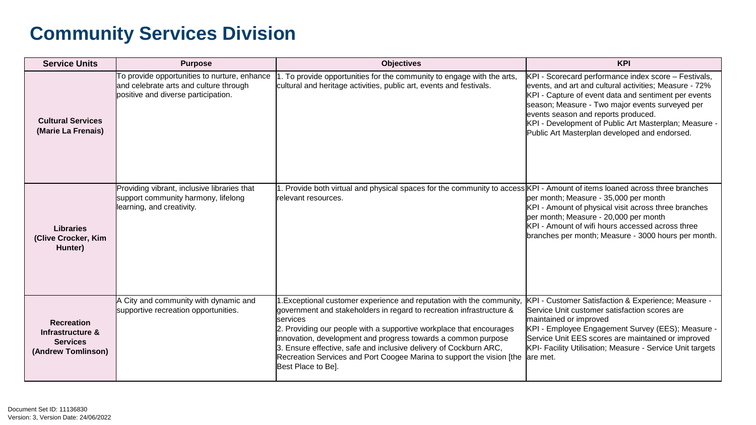| <b>Service Units</b>                                                           | <b>Purpose</b>                                                                                                                | <b>Objectives</b>                                                                                                                                                                                                                                                                                                                                                                                                                                                     | <b>KPI</b>                                                                                                                                                                                                                                                                                                                                                                 |
|--------------------------------------------------------------------------------|-------------------------------------------------------------------------------------------------------------------------------|-----------------------------------------------------------------------------------------------------------------------------------------------------------------------------------------------------------------------------------------------------------------------------------------------------------------------------------------------------------------------------------------------------------------------------------------------------------------------|----------------------------------------------------------------------------------------------------------------------------------------------------------------------------------------------------------------------------------------------------------------------------------------------------------------------------------------------------------------------------|
| <b>Cultural Services</b><br>(Marie La Frenais)                                 | To provide opportunities to nurture, enhance<br>and celebrate arts and culture through<br>positive and diverse participation. | . To provide opportunities for the community to engage with the arts,<br>cultural and heritage activities, public art, events and festivals.                                                                                                                                                                                                                                                                                                                          | KPI - Scorecard performance index score - Festivals,<br>events, and art and cultural activities; Measure - 72%<br>KPI - Capture of event data and sentiment per events<br>season; Measure - Two major events surveyed per<br>events season and reports produced.<br>KPI - Development of Public Art Masterplan; Measure -<br>Public Art Masterplan developed and endorsed. |
| <b>Libraries</b><br>(Clive Crocker, Kim<br>Hunter)                             | Providing vibrant, inclusive libraries that<br>support community harmony, lifelong<br>learning, and creativity.               | 1. Provide both virtual and physical spaces for the community to access KPI - Amount of items loaned across three branches<br>relevant resources.                                                                                                                                                                                                                                                                                                                     | per month; Measure - 35,000 per month<br>KPI - Amount of physical visit across three branches<br>per month; Measure - 20,000 per month<br>KPI - Amount of wifi hours accessed across three<br>branches per month; Measure - 3000 hours per month.                                                                                                                          |
| <b>Recreation</b><br>Infrastructure &<br><b>Services</b><br>(Andrew Tomlinson) | A City and community with dynamic and<br>supportive recreation opportunities.                                                 | 1. Exceptional customer experience and reputation with the community,<br>government and stakeholders in regard to recreation infrastructure &<br>services<br>2. Providing our people with a supportive workplace that encourages<br>innovation, development and progress towards a common purpose<br>3. Ensure effective, safe and inclusive delivery of Cockburn ARC,<br>Recreation Services and Port Coogee Marina to support the vision [the<br>Best Place to Be]. | KPI - Customer Satisfaction & Experience; Measure -<br>Service Unit customer satisfaction scores are<br>maintained or improved<br>KPI - Employee Engagement Survey (EES); Measure -<br>Service Unit EES scores are maintained or improved<br>KPI- Facility Utilisation; Measure - Service Unit targets<br>lare met.                                                        |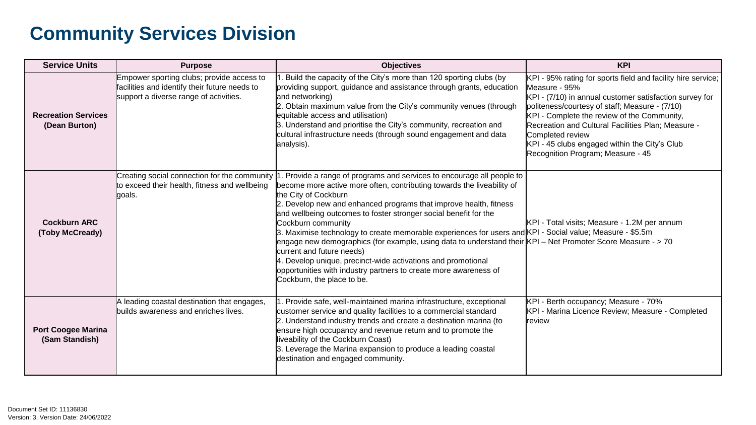| <b>Service Units</b>                        | <b>Purpose</b>                                                                                                                       | <b>Objectives</b>                                                                                                                                                                                                                                                                                                                                                                                                                                                                                                                                                                                                                                                                                                                                                   | <b>KPI</b>                                                                                                                                                                                                                                                                                                                                                                                                |
|---------------------------------------------|--------------------------------------------------------------------------------------------------------------------------------------|---------------------------------------------------------------------------------------------------------------------------------------------------------------------------------------------------------------------------------------------------------------------------------------------------------------------------------------------------------------------------------------------------------------------------------------------------------------------------------------------------------------------------------------------------------------------------------------------------------------------------------------------------------------------------------------------------------------------------------------------------------------------|-----------------------------------------------------------------------------------------------------------------------------------------------------------------------------------------------------------------------------------------------------------------------------------------------------------------------------------------------------------------------------------------------------------|
| <b>Recreation Services</b><br>(Dean Burton) | Empower sporting clubs; provide access to<br>facilities and identify their future needs to<br>support a diverse range of activities. | . Build the capacity of the City's more than 120 sporting clubs (by<br>providing support, guidance and assistance through grants, education<br>and networking)<br>2. Obtain maximum value from the City's community venues (through<br>equitable access and utilisation)<br>3. Understand and prioritise the City's community, recreation and<br>cultural infrastructure needs (through sound engagement and data<br>analysis).                                                                                                                                                                                                                                                                                                                                     | KPI - 95% rating for sports field and facility hire service;<br>Measure - 95%<br>KPI - (7/10) in annual customer satisfaction survey for<br>politeness/courtesy of staff; Measure - (7/10)<br>KPI - Complete the review of the Community,<br>Recreation and Cultural Facilities Plan; Measure -<br>Completed review<br>KPI - 45 clubs engaged within the City's Club<br>Recognition Program; Measure - 45 |
| <b>Cockburn ARC</b><br>(Toby McCready)      | Creating social connection for the community<br>to exceed their health, fitness and wellbeing<br>goals.                              | . Provide a range of programs and services to encourage all people to<br>become more active more often, contributing towards the liveability of<br>the City of Cockburn<br>2. Develop new and enhanced programs that improve health, fitness<br>and wellbeing outcomes to foster stronger social benefit for the<br>Cockburn community<br>3. Maximise technology to create memorable experiences for users and KPI - Social value; Measure - \$5.5m<br>lengage new demographics (for example, using data to understand their KPI – Net Promoter Score Measure - > 70<br>current and future needs)<br>4. Develop unique, precinct-wide activations and promotional<br>opportunities with industry partners to create more awareness of<br>Cockburn, the place to be. | KPI - Total visits; Measure - 1.2M per annum                                                                                                                                                                                                                                                                                                                                                              |
| <b>Port Coogee Marina</b><br>(Sam Standish) | A leading coastal destination that engages,<br>builds awareness and enriches lives.                                                  | I. Provide safe, well-maintained marina infrastructure, exceptional<br>customer service and quality facilities to a commercial standard<br>2. Understand industry trends and create a destination marina (to<br>ensure high occupancy and revenue return and to promote the<br>liveability of the Cockburn Coast)<br>3. Leverage the Marina expansion to produce a leading coastal<br>destination and engaged community.                                                                                                                                                                                                                                                                                                                                            | KPI - Berth occupancy; Measure - 70%<br>KPI - Marina Licence Review; Measure - Completed<br><b>review</b>                                                                                                                                                                                                                                                                                                 |